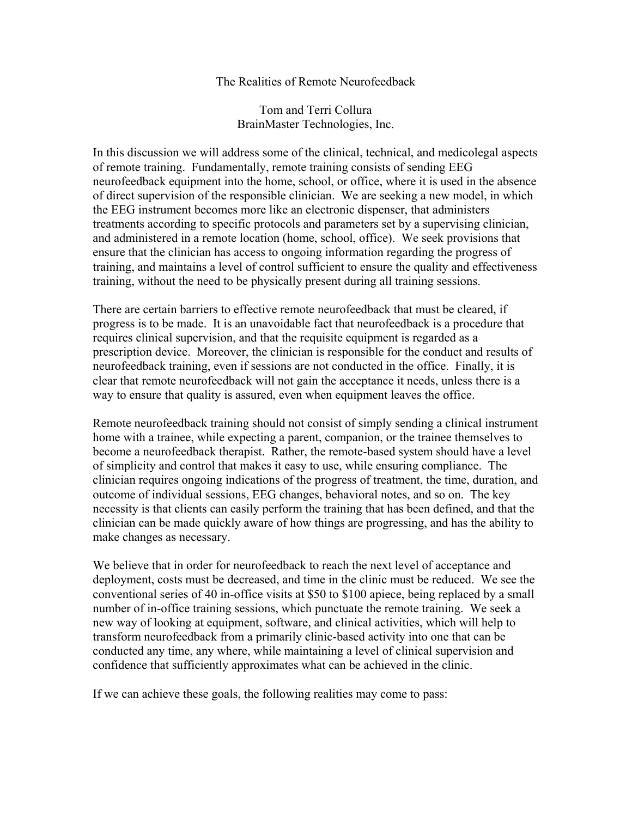## The Realities of Remote Neurofeedback

Tom and Terri Collura BrainMaster Technologies, Inc.

In this discussion we will address some of the clinical, technical, and medicolegal aspects of remote training. Fundamentally, remote training consists of sending EEG neurofeedback equipment into the home, school, or office, where it is used in the absence of direct supervision of the responsible clinician. We are seeking a new model, in which the EEG instrument becomes more like an electronic dispenser, that administers treatments according to specific protocols and parameters set by a supervising clinician, and administered in a remote location (home, school, office). We seek provisions that ensure that the clinician has access to ongoing information regarding the progress of training, and maintains a level of control sufficient to ensure the quality and effectiveness training, without the need to be physically present during all training sessions.

There are certain barriers to effective remote neurofeedback that must be cleared, if progress is to be made. It is an unavoidable fact that neurofeedback is a procedure that requires clinical supervision, and that the requisite equipment is regarded as a prescription device. Moreover, the clinician is responsible for the conduct and results of neurofeedback training, even if sessions are not conducted in the office. Finally, it is clear that remote neurofeedback will not gain the acceptance it needs, unless there is a way to ensure that quality is assured, even when equipment leaves the office.

Remote neurofeedback training should not consist of simply sending a clinical instrument home with a trainee, while expecting a parent, companion, or the trainee themselves to become a neurofeedback therapist. Rather, the remote-based system should have a level of simplicity and control that makes it easy to use, while ensuring compliance. The clinician requires ongoing indications of the progress of treatment, the time, duration, and outcome of individual sessions, EEG changes, behavioral notes, and so on. The key necessity is that clients can easily perform the training that has been defined, and that the clinician can be made quickly aware of how things are progressing, and has the ability to make changes as necessary.

We believe that in order for neurofeedback to reach the next level of acceptance and deployment, costs must be decreased, and time in the clinic must be reduced. We see the conventional series of 40 in-office visits at \$50 to \$100 apiece, being replaced by a small number of in-office training sessions, which punctuate the remote training. We seek a new way of looking at equipment, software, and clinical activities, which will help to transform neurofeedback from a primarily clinic-based activity into one that can be conducted any time, any where, while maintaining a level of clinical supervision and confidence that sufficiently approximates what can be achieved in the clinic.

If we can achieve these goals, the following realities may come to pass: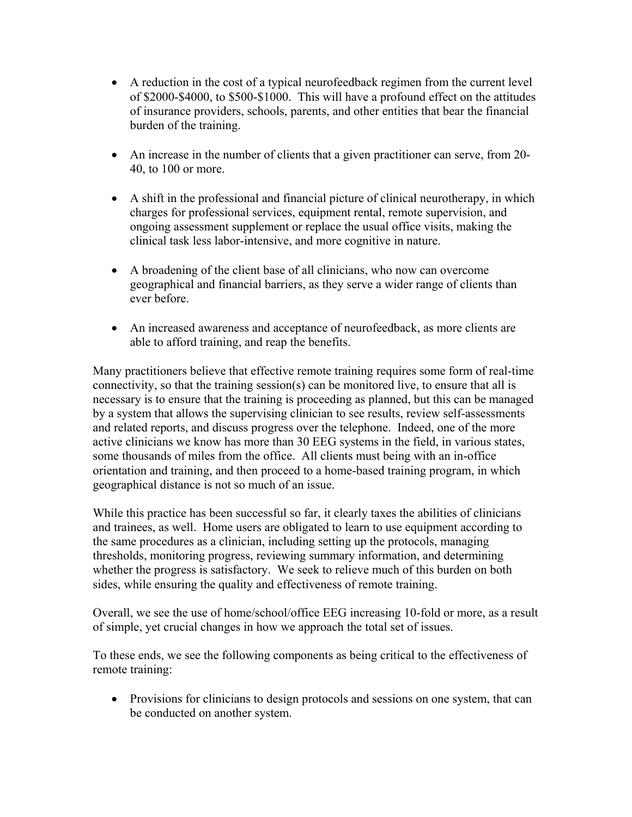- A reduction in the cost of a typical neurofeedback regimen from the current level of \$2000-\$4000, to \$500-\$1000. This will have a profound effect on the attitudes of insurance providers, schools, parents, and other entities that bear the financial burden of the training.
- An increase in the number of clients that a given practitioner can serve, from 20-40, to 100 or more.
- A shift in the professional and financial picture of clinical neurotherapy, in which charges for professional services, equipment rental, remote supervision, and ongoing assessment supplement or replace the usual office visits, making the clinical task less labor-intensive, and more cognitive in nature.
- A broadening of the client base of all clinicians, who now can overcome geographical and financial barriers, as they serve a wider range of clients than ever before.
- An increased awareness and acceptance of neurofeedback, as more clients are able to afford training, and reap the benefits.

Many practitioners believe that effective remote training requires some form of real-time connectivity, so that the training session(s) can be monitored live, to ensure that all is necessary is to ensure that the training is proceeding as planned, but this can be managed by a system that allows the supervising clinician to see results, review self-assessments and related reports, and discuss progress over the telephone. Indeed, one of the more active clinicians we know has more than 30 EEG systems in the field, in various states, some thousands of miles from the office. All clients must being with an in-office orientation and training, and then proceed to a home-based training program, in which geographical distance is not so much of an issue.

While this practice has been successful so far, it clearly taxes the abilities of clinicians and trainees, as well. Home users are obligated to learn to use equipment according to the same procedures as a clinician, including setting up the protocols, managing thresholds, monitoring progress, reviewing summary information, and determining whether the progress is satisfactory. We seek to relieve much of this burden on both sides, while ensuring the quality and effectiveness of remote training.

Overall, we see the use of home/school/office EEG increasing 10-fold or more, as a result of simple, yet crucial changes in how we approach the total set of issues.

To these ends, we see the following components as being critical to the effectiveness of remote training:

• Provisions for clinicians to design protocols and sessions on one system, that can be conducted on another system.